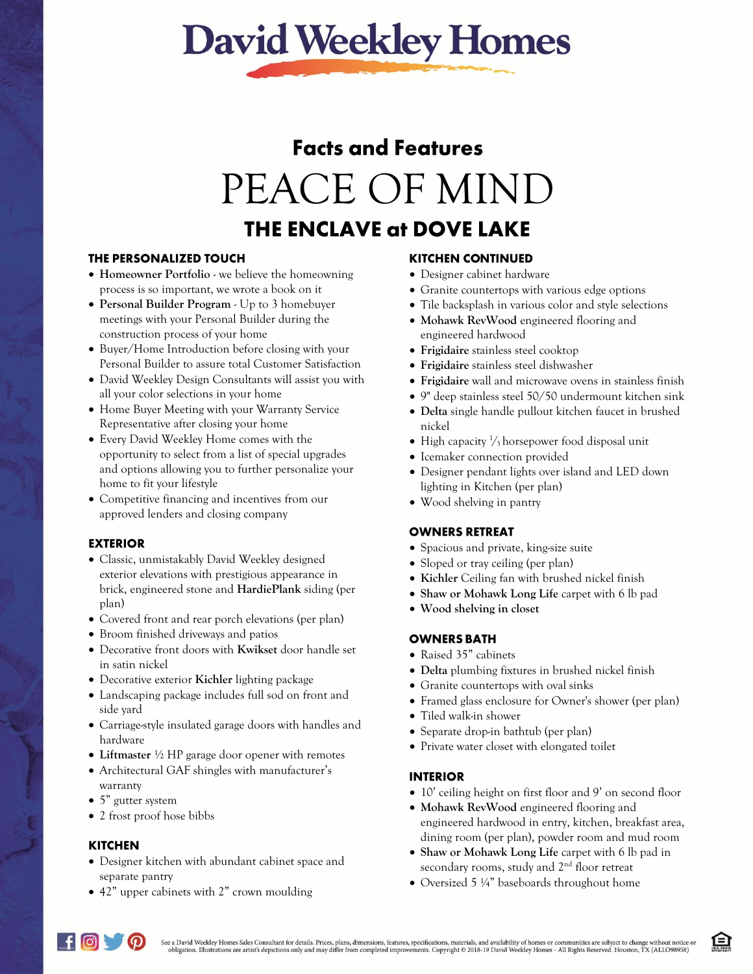# **David Weekley Homes**

# **Facts and Features** PEACE OF MIND **THE ENCLAVE at DOVE LAKE**

### THE PERSONALIZED TOUCH

- **Homeowner Portfolio** we believe the homeowning process is so important, we wrote a book on it
- **Personal Builder Program** Up to 3 homebuyer meetings with your Personal Builder during the construction process of your home
- Buyer/Home Introduction before closing with your Personal Builder to assure total Customer Satisfaction
- David Weekley Design Consultants will assist you with all your color selections in your home
- Home Buyer Meeting with your Warranty Service Representative after closing your home
- Every David Weekley Home comes with the opportunity to select from a list of special upgrades and options allowing you to further personalize your home to fit your lifestyle
- Competitive financing and incentives from our approved lenders and closing company

# **EXTERIOR**

- Classic, unmistakably David Weekley designed exterior elevations with prestigious appearance in brick, engineered stone and **HardiePlank** siding (per plan)
- Covered front and rear porch elevations (per plan)
- Broom finished driveways and patios
- Decorative front doors with **Kwikset** door handle set in satin nickel
- Decorative exterior **Kichler** lighting package
- Landscaping package includes full sod on front and side yard
- Carriage-style insulated garage doors with handles and hardware
- **Liftmaster** ½ HP garage door opener with remotes
- Architectural GAF shingles with manufacturer's warranty
- 5" gutter system
- 2 frost proof hose bibbs

# **KITCHEN**

- Designer kitchen with abundant cabinet space and separate pantry
- 42" upper cabinets with 2" crown moulding

### **KITCHEN CONTINUED**

- Designer cabinet hardware
- Granite countertops with various edge options
- Tile backsplash in various color and style selections
- **Mohawk RevWood** engineered flooring and engineered hardwood
- **Frigidaire** stainless steel cooktop
- **Frigidaire** stainless steel dishwasher
- **Frigidaire** wall and microwave ovens in stainless finish
- 9" deep stainless steel 50/50 undermount kitchen sink
- **Delta** single handle pullout kitchen faucet in brushed nickel
- High capacity  $\frac{1}{3}$  horsepower food disposal unit
- Icemaker connection provided
- Designer pendant lights over island and LED down lighting in Kitchen (per plan)
- Wood shelving in pantry

### **OWNERS RETREAT**

- Spacious and private, king-size suite
- Sloped or tray ceiling (per plan)
- **Kichler** Ceiling fan with brushed nickel finish
- **Shaw or Mohawk Long Life** carpet with 6 lb pad
- **Wood shelving in closet**

# **OWNERS BATH**

- Raised 35" cabinets
- **Delta** plumbing fixtures in brushed nickel finish
- Granite countertops with oval sinks
- Framed glass enclosure for Owner's shower (per plan)
- Tiled walk-in shower
- Separate drop-in bathtub (per plan)
- Private water closet with elongated toilet

### **INTERIOR**

- 10' ceiling height on first floor and 9' on second floor
- **Mohawk RevWood** engineered flooring and engineered hardwood in entry, kitchen, breakfast area, dining room (per plan), powder room and mud room
- **Shaw or Mohawk Long Life** carpet with 6 lb pad in secondary rooms, study and 2<sup>nd</sup> floor retreat
- Oversized 5 ¼" baseboards throughout home